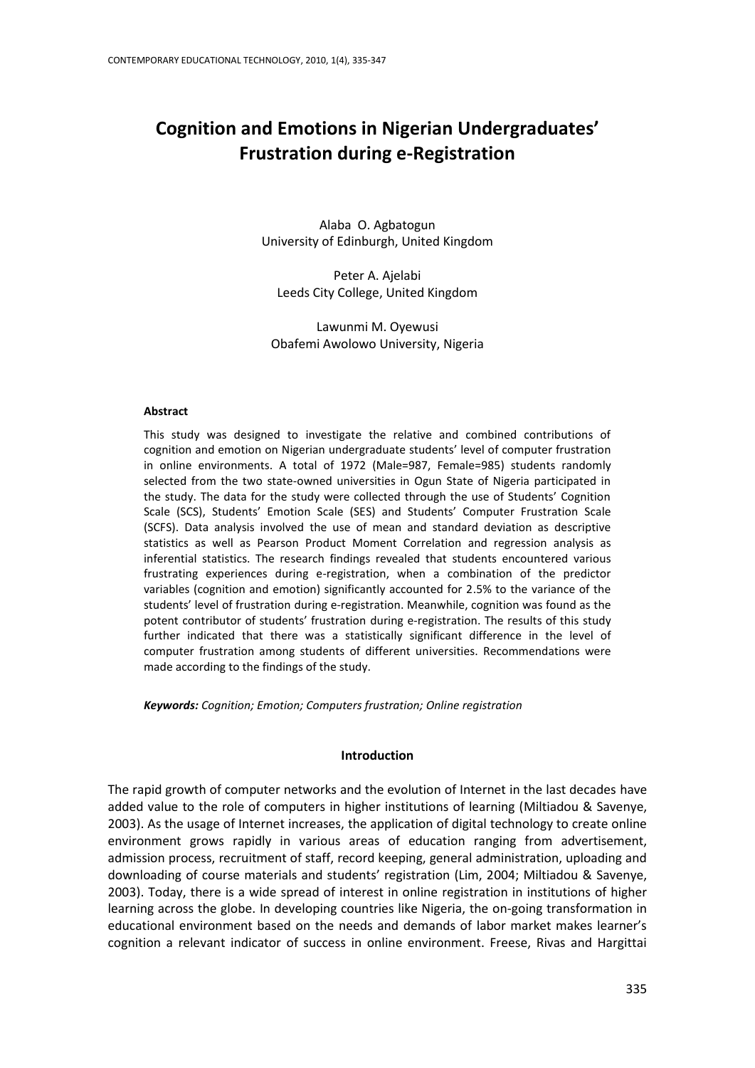# **Cognition and Emotions in Nigerian Undergraduates' Frustration during e-Registration**

Alaba O. Agbatogun University of Edinburgh, United Kingdom

Peter A. Ajelabi Leeds City College, United Kingdom

Lawunmi M. Oyewusi Obafemi Awolowo University, Nigeria

#### **Abstract**

This study was designed to investigate the relative and combined contributions of cognition and emotion on Nigerian undergraduate students' level of computer frustration in online environments. A total of 1972 (Male=987, Female=985) students randomly selected from the two state-owned universities in Ogun State of Nigeria participated in the study. The data for the study were collected through the use of Students' Cognition Scale (SCS), Students' Emotion Scale (SES) and Students' Computer Frustration Scale (SCFS). Data analysis involved the use of mean and standard deviation as descriptive statistics as well as Pearson Product Moment Correlation and regression analysis as inferential statistics. The research findings revealed that students encountered various frustrating experiences during e-registration, when a combination of the predictor variables (cognition and emotion) significantly accounted for 2.5% to the variance of the students' level of frustration during e-registration. Meanwhile, cognition was found as the potent contributor of students' frustration during e-registration. The results of this study further indicated that there was a statistically significant difference in the level of computer frustration among students of different universities. Recommendations were made according to the findings of the study.

*Keywords: Cognition; Emotion; Computers frustration; Online registration*

## **Introduction**

The rapid growth of computer networks and the evolution of Internet in the last decades have added value to the role of computers in higher institutions of learning (Miltiadou & Savenye, 2003). As the usage of Internet increases, the application of digital technology to create online environment grows rapidly in various areas of education ranging from advertisement, admission process, recruitment of staff, record keeping, general administration, uploading and downloading of course materials and students' registration (Lim, 2004; Miltiadou & Savenye, 2003). Today, there is a wide spread of interest in online registration in institutions of higher learning across the globe. In developing countries like Nigeria, the on-going transformation in educational environment based on the needs and demands of labor market makes learner's cognition a relevant indicator of success in online environment. Freese, Rivas and Hargittai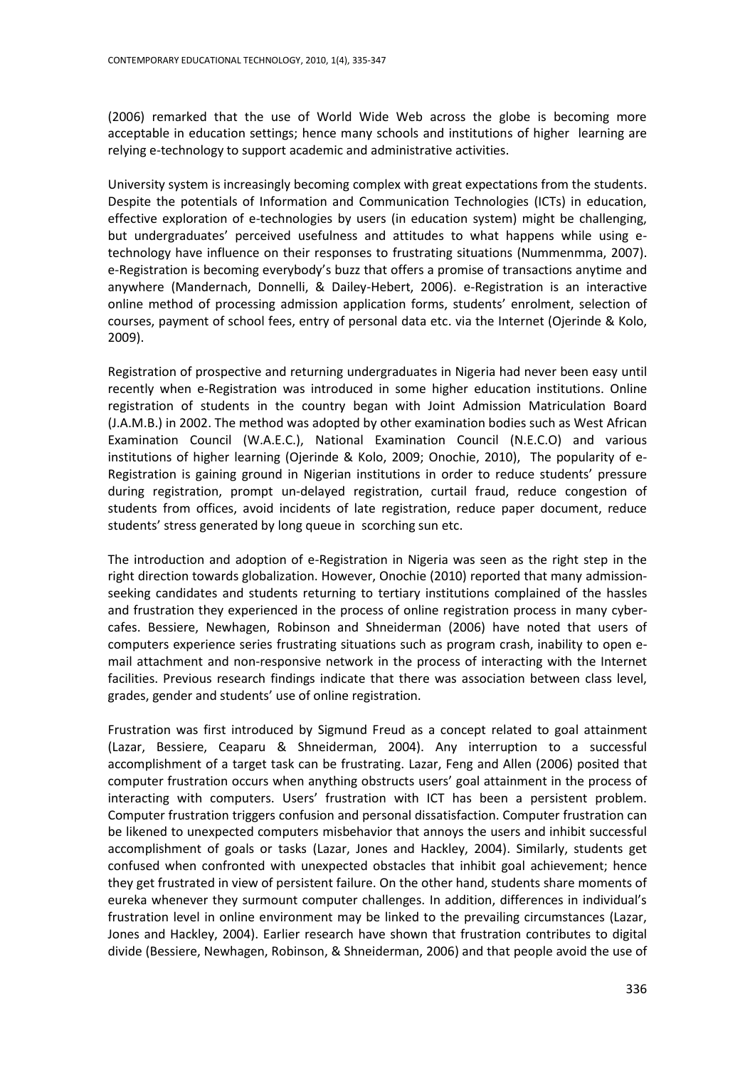(2006) remarked that the use of World Wide Web across the globe is becoming more acceptable in education settings; hence many schools and institutions of higher learning are relying e-technology to support academic and administrative activities.

University system is increasingly becoming complex with great expectations from the students. Despite the potentials of Information and Communication Technologies (ICTs) in education, effective exploration of e-technologies by users (in education system) might be challenging, but undergraduates' perceived usefulness and attitudes to what happens while using etechnology have influence on their responses to frustrating situations (Nummenmma, 2007). e-Registration is becoming everybody's buzz that offers a promise of transactions anytime and anywhere (Mandernach, Donnelli, & Dailey-Hebert, 2006). e-Registration is an interactive online method of processing admission application forms, students' enrolment, selection of courses, payment of school fees, entry of personal data etc. via the Internet (Ojerinde & Kolo, 2009).

Registration of prospective and returning undergraduates in Nigeria had never been easy until recently when e-Registration was introduced in some higher education institutions. Online registration of students in the country began with Joint Admission Matriculation Board (J.A.M.B.) in 2002. The method was adopted by other examination bodies such as West African Examination Council (W.A.E.C.), National Examination Council (N.E.C.O) and various institutions of higher learning (Ojerinde & Kolo, 2009; Onochie, 2010), The popularity of e-Registration is gaining ground in Nigerian institutions in order to reduce students' pressure during registration, prompt un-delayed registration, curtail fraud, reduce congestion of students from offices, avoid incidents of late registration, reduce paper document, reduce students' stress generated by long queue in scorching sun etc.

The introduction and adoption of e-Registration in Nigeria was seen as the right step in the right direction towards globalization. However, Onochie (2010) reported that many admissionseeking candidates and students returning to tertiary institutions complained of the hassles and frustration they experienced in the process of online registration process in many cybercafes. Bessiere, Newhagen, Robinson and Shneiderman (2006) have noted that users of computers experience series frustrating situations such as program crash, inability to open email attachment and non-responsive network in the process of interacting with the Internet facilities. Previous research findings indicate that there was association between class level, grades, gender and students' use of online registration.

Frustration was first introduced by Sigmund Freud as a concept related to goal attainment (Lazar, Bessiere, Ceaparu & Shneiderman, 2004). Any interruption to a successful accomplishment of a target task can be frustrating. Lazar, Feng and Allen (2006) posited that computer frustration occurs when anything obstructs users' goal attainment in the process of interacting with computers. Users' frustration with ICT has been a persistent problem. Computer frustration triggers confusion and personal dissatisfaction. Computer frustration can be likened to unexpected computers misbehavior that annoys the users and inhibit successful accomplishment of goals or tasks (Lazar, Jones and Hackley, 2004). Similarly, students get confused when confronted with unexpected obstacles that inhibit goal achievement; hence they get frustrated in view of persistent failure. On the other hand, students share moments of eureka whenever they surmount computer challenges. In addition, differences in individual's frustration level in online environment may be linked to the prevailing circumstances (Lazar, Jones and Hackley, 2004). Earlier research have shown that frustration contributes to digital divide (Bessiere, Newhagen, Robinson, & Shneiderman, 2006) and that people avoid the use of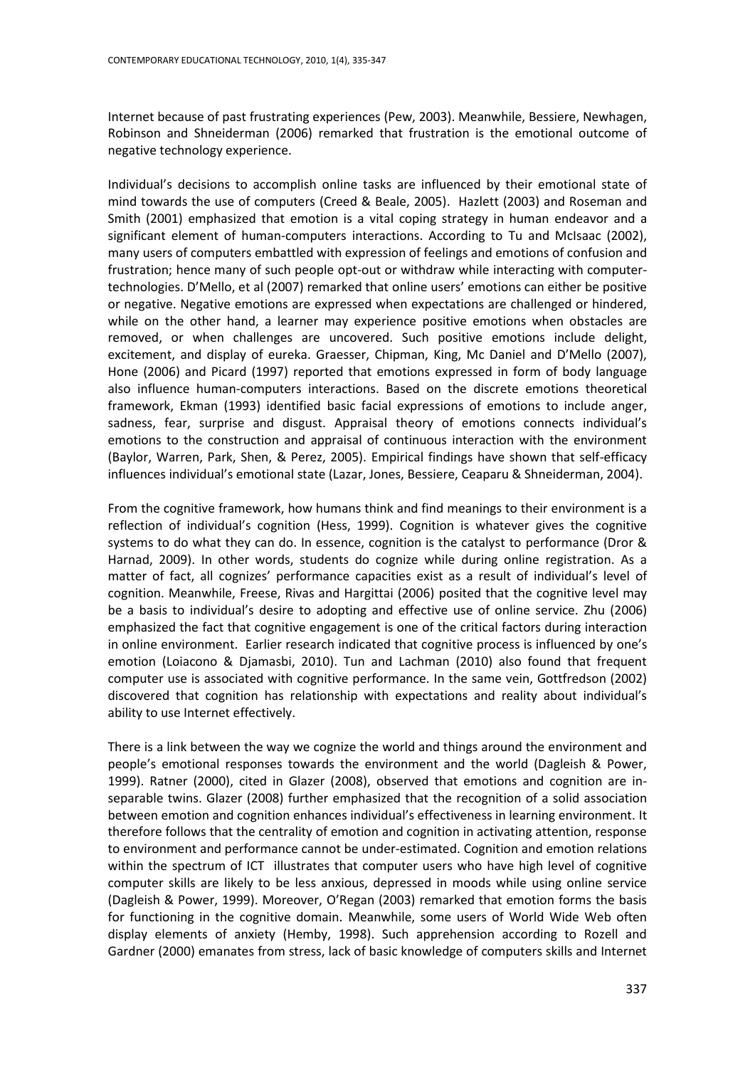Internet because of past frustrating experiences (Pew, 2003). Meanwhile, Bessiere, Newhagen, Robinson and Shneiderman (2006) remarked that frustration is the emotional outcome of negative technology experience.

Individual's decisions to accomplish online tasks are influenced by their emotional state of mind towards the use of computers (Creed & Beale, 2005). Hazlett (2003) and Roseman and Smith (2001) emphasized that emotion is a vital coping strategy in human endeavor and a significant element of human-computers interactions. According to Tu and McIsaac (2002), many users of computers embattled with expression of feelings and emotions of confusion and frustration; hence many of such people opt-out or withdraw while interacting with computertechnologies. D'Mello, et al (2007) remarked that online users' emotions can either be positive or negative. Negative emotions are expressed when expectations are challenged or hindered, while on the other hand, a learner may experience positive emotions when obstacles are removed, or when challenges are uncovered. Such positive emotions include delight, excitement, and display of eureka. Graesser, Chipman, King, Mc Daniel and D'Mello (2007), Hone (2006) and Picard (1997) reported that emotions expressed in form of body language also influence human-computers interactions. Based on the discrete emotions theoretical framework, Ekman (1993) identified basic facial expressions of emotions to include anger, sadness, fear, surprise and disgust. Appraisal theory of emotions connects individual's emotions to the construction and appraisal of continuous interaction with the environment (Baylor, Warren, Park, Shen, & Perez, 2005). Empirical findings have shown that self-efficacy influences individual's emotional state (Lazar, Jones, Bessiere, Ceaparu & Shneiderman, 2004).

From the cognitive framework, how humans think and find meanings to their environment is a reflection of individual's cognition (Hess, 1999). Cognition is whatever gives the cognitive systems to do what they can do. In essence, cognition is the catalyst to performance (Dror & Harnad, 2009). In other words, students do cognize while during online registration. As a matter of fact, all cognizes' performance capacities exist as a result of individual's level of cognition. Meanwhile, Freese, Rivas and Hargittai (2006) posited that the cognitive level may be a basis to individual's desire to adopting and effective use of online service. Zhu (2006) emphasized the fact that cognitive engagement is one of the critical factors during interaction in online environment. Earlier research indicated that cognitive process is influenced by one's emotion (Loiacono & Djamasbi, 2010). Tun and Lachman (2010) also found that frequent computer use is associated with cognitive performance. In the same vein, Gottfredson (2002) discovered that cognition has relationship with expectations and reality about individual's ability to use Internet effectively.

There is a link between the way we cognize the world and things around the environment and people's emotional responses towards the environment and the world (Dagleish & Power, 1999). Ratner (2000), cited in Glazer (2008), observed that emotions and cognition are inseparable twins. Glazer (2008) further emphasized that the recognition of a solid association between emotion and cognition enhances individual's effectiveness in learning environment. It therefore follows that the centrality of emotion and cognition in activating attention, response to environment and performance cannot be under-estimated. Cognition and emotion relations within the spectrum of ICT illustrates that computer users who have high level of cognitive computer skills are likely to be less anxious, depressed in moods while using online service (Dagleish & Power, 1999). Moreover, O'Regan (2003) remarked that emotion forms the basis for functioning in the cognitive domain. Meanwhile, some users of World Wide Web often display elements of anxiety (Hemby, 1998). Such apprehension according to Rozell and Gardner (2000) emanates from stress, lack of basic knowledge of computers skills and Internet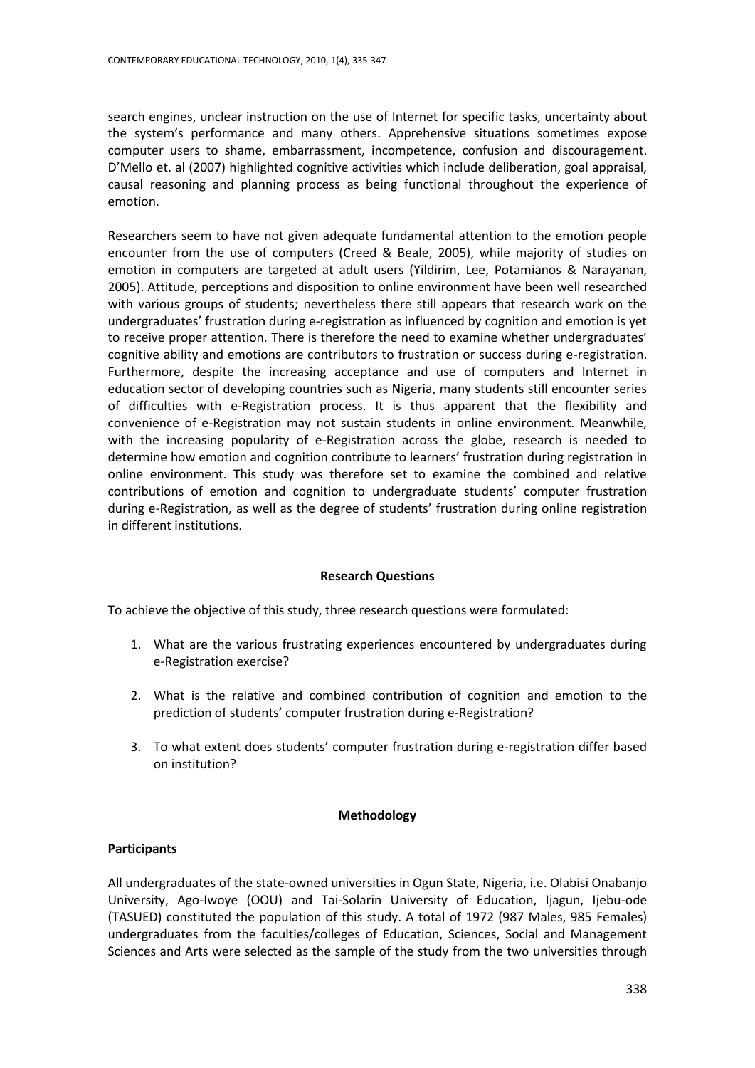search engines, unclear instruction on the use of Internet for specific tasks, uncertainty about the system's performance and many others. Apprehensive situations sometimes expose computer users to shame, embarrassment, incompetence, confusion and discouragement. D'Mello et. al (2007) highlighted cognitive activities which include deliberation, goal appraisal, causal reasoning and planning process as being functional throughout the experience of emotion.

Researchers seem to have not given adequate fundamental attention to the emotion people encounter from the use of computers (Creed & Beale, 2005), while majority of studies on emotion in computers are targeted at adult users (Yildirim, Lee, Potamianos & Narayanan, 2005). Attitude, perceptions and disposition to online environment have been well researched with various groups of students; nevertheless there still appears that research work on the undergraduates' frustration during e-registration as influenced by cognition and emotion is yet to receive proper attention. There is therefore the need to examine whether undergraduates' cognitive ability and emotions are contributors to frustration or success during e-registration. Furthermore, despite the increasing acceptance and use of computers and Internet in education sector of developing countries such as Nigeria, many students still encounter series of difficulties with e-Registration process. It is thus apparent that the flexibility and convenience of e-Registration may not sustain students in online environment. Meanwhile, with the increasing popularity of e-Registration across the globe, research is needed to determine how emotion and cognition contribute to learners' frustration during registration in online environment. This study was therefore set to examine the combined and relative contributions of emotion and cognition to undergraduate students' computer frustration during e-Registration, as well as the degree of students' frustration during online registration in different institutions.

## **Research Questions**

To achieve the objective of this study, three research questions were formulated:

- 1. What are the various frustrating experiences encountered by undergraduates during e-Registration exercise?
- 2. What is the relative and combined contribution of cognition and emotion to the prediction of students' computer frustration during e-Registration?
- 3. To what extent does students' computer frustration during e-registration differ based on institution?

## **Methodology**

## **Participants**

All undergraduates of the state-owned universities in Ogun State, Nigeria, i.e. Olabisi Onabanjo University, Ago-Iwoye (OOU) and Tai-Solarin University of Education, Ijagun, Ijebu-ode (TASUED) constituted the population of this study. A total of 1972 (987 Males, 985 Females) undergraduates from the faculties/colleges of Education, Sciences, Social and Management Sciences and Arts were selected as the sample of the study from the two universities through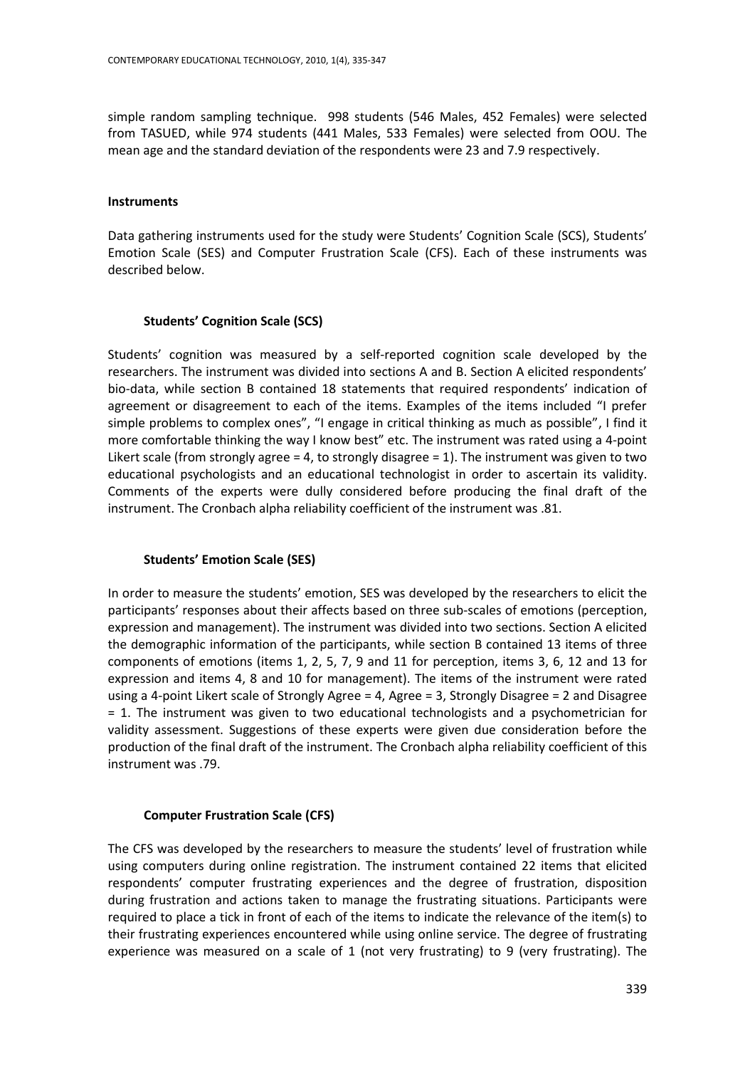simple random sampling technique. 998 students (546 Males, 452 Females) were selected from TASUED, while 974 students (441 Males, 533 Females) were selected from OOU. The mean age and the standard deviation of the respondents were 23 and 7.9 respectively.

#### **Instruments**

Data gathering instruments used for the study were Students' Cognition Scale (SCS), Students' Emotion Scale (SES) and Computer Frustration Scale (CFS). Each of these instruments was described below.

## **Students' Cognition Scale (SCS)**

Students' cognition was measured by a self-reported cognition scale developed by the researchers. The instrument was divided into sections A and B. Section A elicited respondents' bio-data, while section B contained 18 statements that required respondents' indication of agreement or disagreement to each of the items. Examples of the items included "I prefer simple problems to complex ones", "I engage in critical thinking as much as possible", I find it more comfortable thinking the way I know best" etc. The instrument was rated using a 4-point Likert scale (from strongly agree = 4, to strongly disagree = 1). The instrument was given to two educational psychologists and an educational technologist in order to ascertain its validity. Comments of the experts were dully considered before producing the final draft of the instrument. The Cronbach alpha reliability coefficient of the instrument was .81.

## **Students' Emotion Scale (SES)**

In order to measure the students' emotion, SES was developed by the researchers to elicit the participants' responses about their affects based on three sub-scales of emotions (perception, expression and management). The instrument was divided into two sections. Section A elicited the demographic information of the participants, while section B contained 13 items of three components of emotions (items 1, 2, 5, 7, 9 and 11 for perception, items 3, 6, 12 and 13 for expression and items 4, 8 and 10 for management). The items of the instrument were rated using a 4-point Likert scale of Strongly Agree = 4, Agree = 3, Strongly Disagree = 2 and Disagree = 1. The instrument was given to two educational technologists and a psychometrician for validity assessment. Suggestions of these experts were given due consideration before the production of the final draft of the instrument. The Cronbach alpha reliability coefficient of this instrument was .79.

## **Computer Frustration Scale (CFS)**

The CFS was developed by the researchers to measure the students' level of frustration while using computers during online registration. The instrument contained 22 items that elicited respondents' computer frustrating experiences and the degree of frustration, disposition during frustration and actions taken to manage the frustrating situations. Participants were required to place a tick in front of each of the items to indicate the relevance of the item(s) to their frustrating experiences encountered while using online service. The degree of frustrating experience was measured on a scale of 1 (not very frustrating) to 9 (very frustrating). The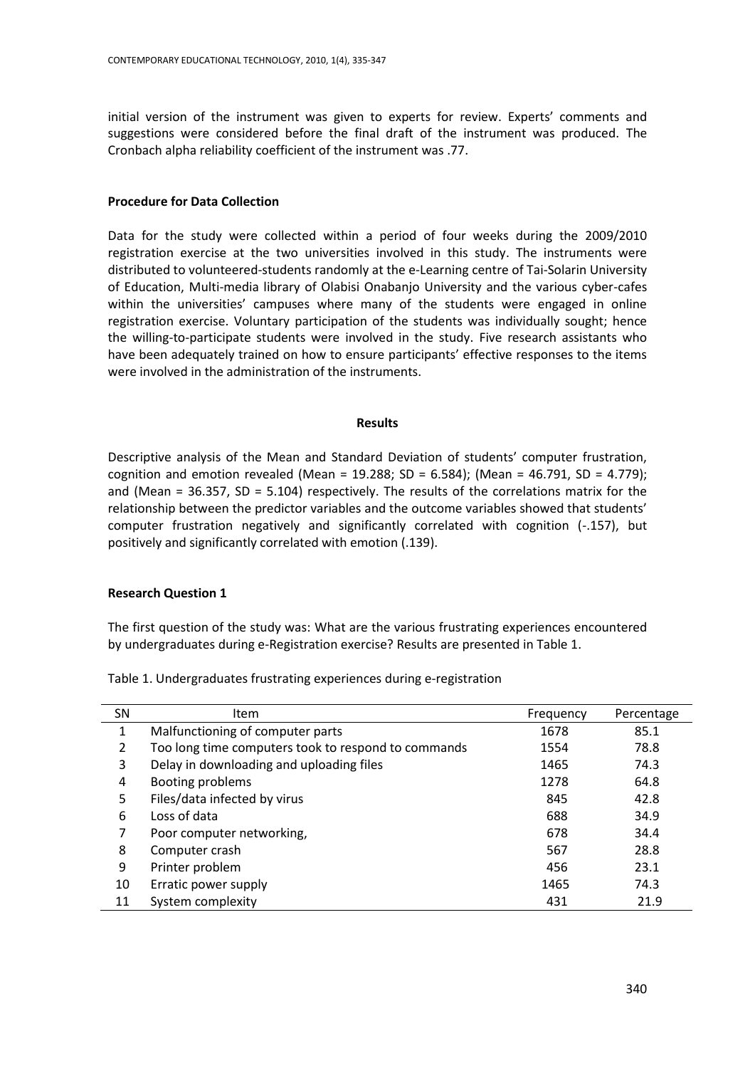initial version of the instrument was given to experts for review. Experts' comments and suggestions were considered before the final draft of the instrument was produced. The Cronbach alpha reliability coefficient of the instrument was .77.

## **Procedure for Data Collection**

Data for the study were collected within a period of four weeks during the 2009/2010 registration exercise at the two universities involved in this study. The instruments were distributed to volunteered-students randomly at the e-Learning centre of Tai-Solarin University of Education, Multi-media library of Olabisi Onabanjo University and the various cyber-cafes within the universities' campuses where many of the students were engaged in online registration exercise. Voluntary participation of the students was individually sought; hence the willing-to-participate students were involved in the study. Five research assistants who have been adequately trained on how to ensure participants' effective responses to the items were involved in the administration of the instruments.

#### **Results**

Descriptive analysis of the Mean and Standard Deviation of students' computer frustration, cognition and emotion revealed (Mean =  $19.288$ ; SD =  $6.584$ ); (Mean =  $46.791$ , SD =  $4.779$ ); and (Mean = 36.357, SD = 5.104) respectively. The results of the correlations matrix for the relationship between the predictor variables and the outcome variables showed that students' computer frustration negatively and significantly correlated with cognition (-.157), but positively and significantly correlated with emotion (.139).

## **Research Question 1**

The first question of the study was: What are the various frustrating experiences encountered by undergraduates during e-Registration exercise? Results are presented in Table 1.

Table 1. Undergraduates frustrating experiences during e-registration

| <b>SN</b> | <b>Item</b>                                         | Frequency | Percentage |
|-----------|-----------------------------------------------------|-----------|------------|
| 1         | Malfunctioning of computer parts                    | 1678      | 85.1       |
| 2         | Too long time computers took to respond to commands | 1554      | 78.8       |
| 3         | Delay in downloading and uploading files            | 1465      | 74.3       |
| 4         | Booting problems                                    | 1278      | 64.8       |
| 5         | Files/data infected by virus                        | 845       | 42.8       |
| 6         | Loss of data                                        | 688       | 34.9       |
| 7         | Poor computer networking,                           | 678       | 34.4       |
| 8         | Computer crash                                      | 567       | 28.8       |
| 9         | Printer problem                                     | 456       | 23.1       |
| 10        | Erratic power supply                                | 1465      | 74.3       |
| 11        | System complexity                                   | 431       | 21.9       |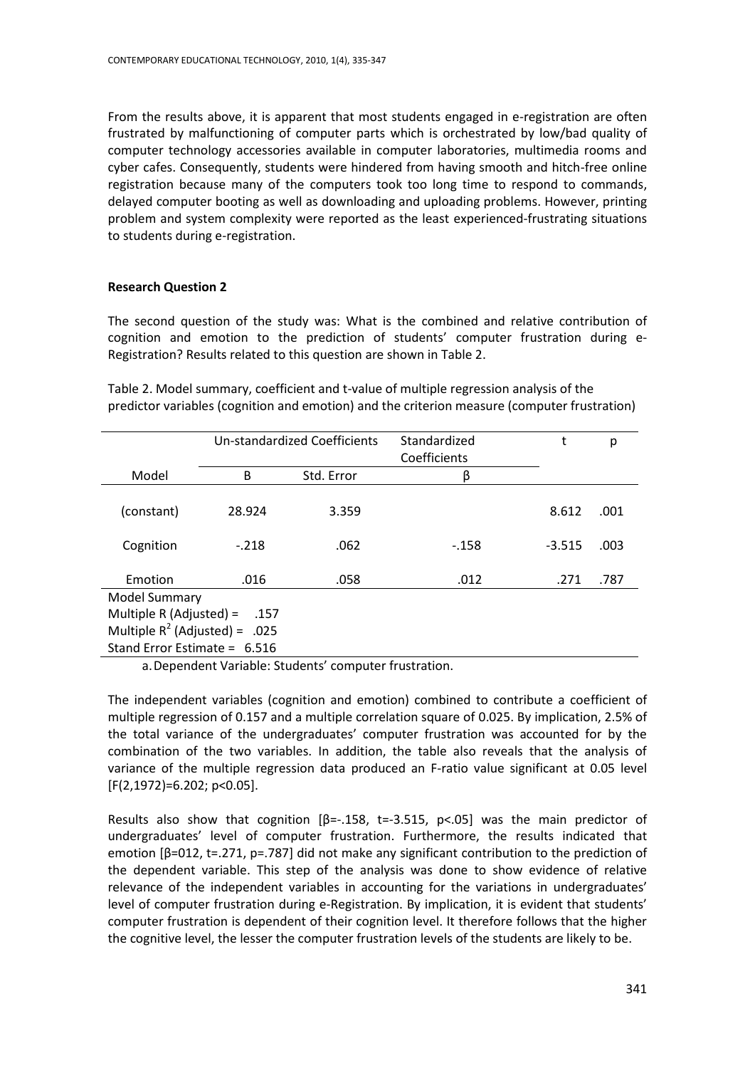From the results above, it is apparent that most students engaged in e-registration are often frustrated by malfunctioning of computer parts which is orchestrated by low/bad quality of computer technology accessories available in computer laboratories, multimedia rooms and cyber cafes. Consequently, students were hindered from having smooth and hitch-free online registration because many of the computers took too long time to respond to commands, delayed computer booting as well as downloading and uploading problems. However, printing problem and system complexity were reported as the least experienced-frustrating situations to students during e-registration.

# **Research Question 2**

The second question of the study was: What is the combined and relative contribution of cognition and emotion to the prediction of students' computer frustration during e-Registration? Results related to this question are shown in Table 2.

Table 2. Model summary, coefficient and t-value of multiple regression analysis of the predictor variables (cognition and emotion) and the criterion measure (computer frustration)

|                                  | <b>Un-standardized Coefficients</b> |            | Standardized<br>Coefficients | t        | р    |  |  |
|----------------------------------|-------------------------------------|------------|------------------------------|----------|------|--|--|
| Model                            | B                                   | Std. Error | β                            |          |      |  |  |
| (constant)                       | 28.924                              | 3.359      |                              | 8.612    | .001 |  |  |
| Cognition                        | $-.218$                             | .062       | $-158$                       | $-3.515$ | .003 |  |  |
| Emotion                          | .016                                | .058       | .012                         | .271     | .787 |  |  |
| Model Summary                    |                                     |            |                              |          |      |  |  |
| Multiple R (Adjusted) =<br>.157  |                                     |            |                              |          |      |  |  |
| Multiple $R^2$ (Adjusted) = .025 |                                     |            |                              |          |      |  |  |
| Stand Error Estimate = $6.516$   |                                     |            |                              |          |      |  |  |

a.Dependent Variable: Students' computer frustration.

The independent variables (cognition and emotion) combined to contribute a coefficient of multiple regression of 0.157 and a multiple correlation square of 0.025. By implication, 2.5% of the total variance of the undergraduates' computer frustration was accounted for by the combination of the two variables. In addition, the table also reveals that the analysis of variance of the multiple regression data produced an F-ratio value significant at 0.05 level [F(2,1972)=6.202; p<0.05].

Results also show that cognition  $[\beta=-.158, t=-3.515, p<.05]$  was the main predictor of undergraduates' level of computer frustration. Furthermore, the results indicated that emotion  $\beta$ =012, t=.271, p=.787] did not make any significant contribution to the prediction of the dependent variable. This step of the analysis was done to show evidence of relative relevance of the independent variables in accounting for the variations in undergraduates' level of computer frustration during e-Registration. By implication, it is evident that students' computer frustration is dependent of their cognition level. It therefore follows that the higher the cognitive level, the lesser the computer frustration levels of the students are likely to be.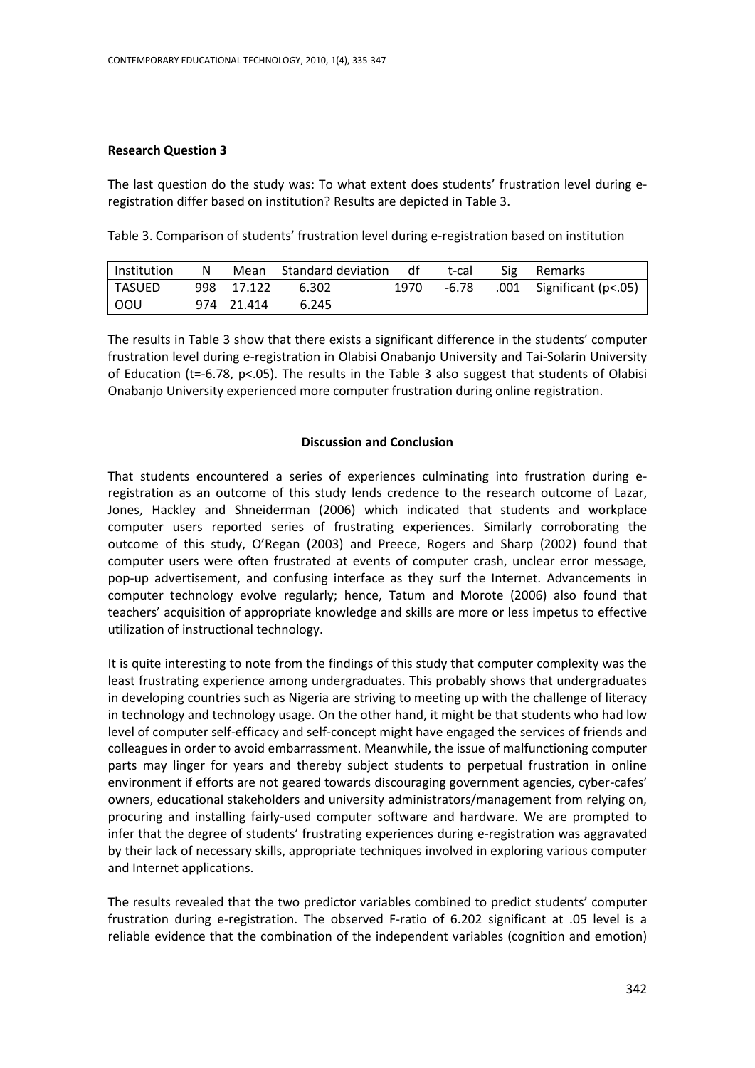## **Research Question 3**

The last question do the study was: To what extent does students' frustration level during eregistration differ based on institution? Results are depicted in Table 3.

Table 3. Comparison of students' frustration level during e-registration based on institution

| l Institution | N. |            | Mean Standard deviation df |      | t-cal | Sig Remarks              |
|---------------|----|------------|----------------------------|------|-------|--------------------------|
| TASUED        |    | 998 17.122 | 6.302                      | 1970 | -6.78 | .001 Significant (p<.05) |
| <b>OOU</b>    |    | 974 21.414 | 6.245                      |      |       |                          |

The results in Table 3 show that there exists a significant difference in the students' computer frustration level during e-registration in Olabisi Onabanjo University and Tai-Solarin University of Education ( $t=-6.78$ ,  $p<-0.5$ ). The results in the Table 3 also suggest that students of Olabisi Onabanjo University experienced more computer frustration during online registration.

## **Discussion and Conclusion**

That students encountered a series of experiences culminating into frustration during eregistration as an outcome of this study lends credence to the research outcome of Lazar, Jones, Hackley and Shneiderman (2006) which indicated that students and workplace computer users reported series of frustrating experiences. Similarly corroborating the outcome of this study, O'Regan (2003) and Preece, Rogers and Sharp (2002) found that computer users were often frustrated at events of computer crash, unclear error message, pop-up advertisement, and confusing interface as they surf the Internet. Advancements in computer technology evolve regularly; hence, Tatum and Morote (2006) also found that teachers' acquisition of appropriate knowledge and skills are more or less impetus to effective utilization of instructional technology.

It is quite interesting to note from the findings of this study that computer complexity was the least frustrating experience among undergraduates. This probably shows that undergraduates in developing countries such as Nigeria are striving to meeting up with the challenge of literacy in technology and technology usage. On the other hand, it might be that students who had low level of computer self-efficacy and self-concept might have engaged the services of friends and colleagues in order to avoid embarrassment. Meanwhile, the issue of malfunctioning computer parts may linger for years and thereby subject students to perpetual frustration in online environment if efforts are not geared towards discouraging government agencies, cyber-cafes' owners, educational stakeholders and university administrators/management from relying on, procuring and installing fairly-used computer software and hardware. We are prompted to infer that the degree of students' frustrating experiences during e-registration was aggravated by their lack of necessary skills, appropriate techniques involved in exploring various computer and Internet applications.

The results revealed that the two predictor variables combined to predict students' computer frustration during e-registration. The observed F-ratio of 6.202 significant at .05 level is a reliable evidence that the combination of the independent variables (cognition and emotion)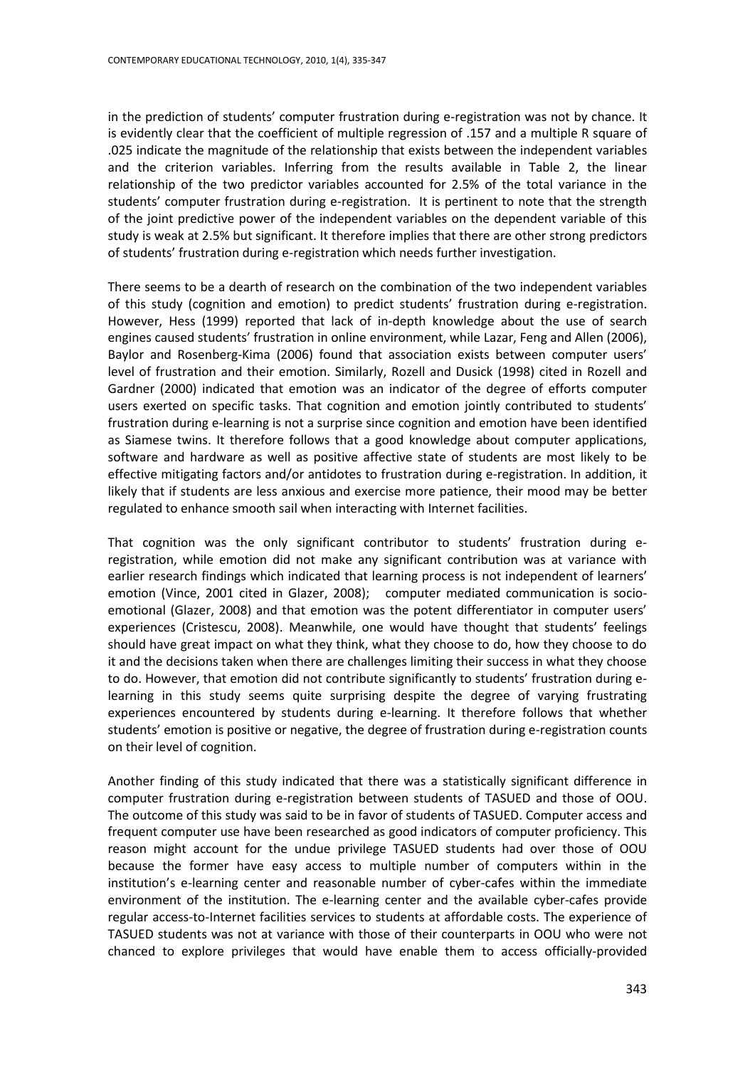in the prediction of students' computer frustration during e-registration was not by chance. It is evidently clear that the coefficient of multiple regression of .157 and a multiple R square of .025 indicate the magnitude of the relationship that exists between the independent variables and the criterion variables. Inferring from the results available in Table 2, the linear relationship of the two predictor variables accounted for 2.5% of the total variance in the students' computer frustration during e-registration. It is pertinent to note that the strength of the joint predictive power of the independent variables on the dependent variable of this study is weak at 2.5% but significant. It therefore implies that there are other strong predictors of students' frustration during e-registration which needs further investigation.

There seems to be a dearth of research on the combination of the two independent variables of this study (cognition and emotion) to predict students' frustration during e-registration. However, Hess (1999) reported that lack of in-depth knowledge about the use of search engines caused students' frustration in online environment, while Lazar, Feng and Allen (2006), Baylor and Rosenberg-Kima (2006) found that association exists between computer users' level of frustration and their emotion. Similarly, Rozell and Dusick (1998) cited in Rozell and Gardner (2000) indicated that emotion was an indicator of the degree of efforts computer users exerted on specific tasks. That cognition and emotion jointly contributed to students' frustration during e-learning is not a surprise since cognition and emotion have been identified as Siamese twins. It therefore follows that a good knowledge about computer applications, software and hardware as well as positive affective state of students are most likely to be effective mitigating factors and/or antidotes to frustration during e-registration. In addition, it likely that if students are less anxious and exercise more patience, their mood may be better regulated to enhance smooth sail when interacting with Internet facilities.

That cognition was the only significant contributor to students' frustration during eregistration, while emotion did not make any significant contribution was at variance with earlier research findings which indicated that learning process is not independent of learners' emotion (Vince, 2001 cited in Glazer, 2008); computer mediated communication is socioemotional (Glazer, 2008) and that emotion was the potent differentiator in computer users' experiences (Cristescu, 2008). Meanwhile, one would have thought that students' feelings should have great impact on what they think, what they choose to do, how they choose to do it and the decisions taken when there are challenges limiting their success in what they choose to do. However, that emotion did not contribute significantly to students' frustration during elearning in this study seems quite surprising despite the degree of varying frustrating experiences encountered by students during e-learning. It therefore follows that whether students' emotion is positive or negative, the degree of frustration during e-registration counts on their level of cognition.

Another finding of this study indicated that there was a statistically significant difference in computer frustration during e-registration between students of TASUED and those of OOU. The outcome of this study was said to be in favor of students of TASUED. Computer access and frequent computer use have been researched as good indicators of computer proficiency. This reason might account for the undue privilege TASUED students had over those of OOU because the former have easy access to multiple number of computers within in the institution's e-learning center and reasonable number of cyber-cafes within the immediate environment of the institution. The e-learning center and the available cyber-cafes provide regular access-to-Internet facilities services to students at affordable costs. The experience of TASUED students was not at variance with those of their counterparts in OOU who were not chanced to explore privileges that would have enable them to access officially-provided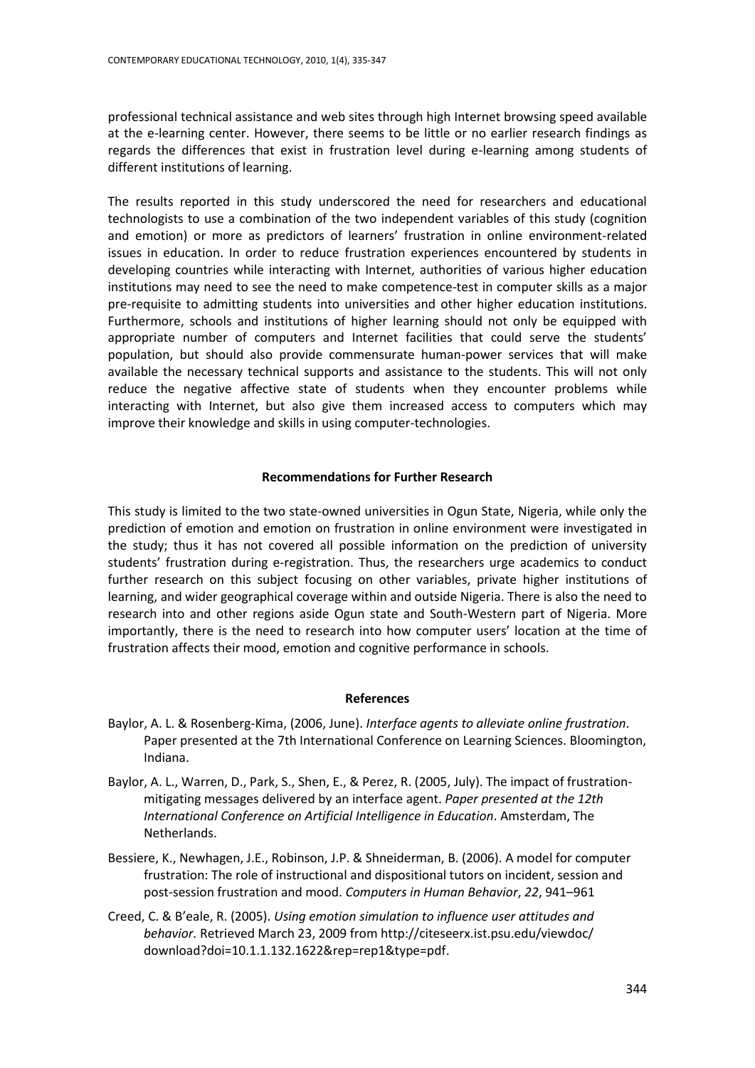professional technical assistance and web sites through high Internet browsing speed available at the e-learning center. However, there seems to be little or no earlier research findings as regards the differences that exist in frustration level during e-learning among students of different institutions of learning.

The results reported in this study underscored the need for researchers and educational technologists to use a combination of the two independent variables of this study (cognition and emotion) or more as predictors of learners' frustration in online environment-related issues in education. In order to reduce frustration experiences encountered by students in developing countries while interacting with Internet, authorities of various higher education institutions may need to see the need to make competence-test in computer skills as a major pre-requisite to admitting students into universities and other higher education institutions. Furthermore, schools and institutions of higher learning should not only be equipped with appropriate number of computers and Internet facilities that could serve the students' population, but should also provide commensurate human-power services that will make available the necessary technical supports and assistance to the students. This will not only reduce the negative affective state of students when they encounter problems while interacting with Internet, but also give them increased access to computers which may improve their knowledge and skills in using computer-technologies.

# **Recommendations for Further Research**

This study is limited to the two state-owned universities in Ogun State, Nigeria, while only the prediction of emotion and emotion on frustration in online environment were investigated in the study; thus it has not covered all possible information on the prediction of university students' frustration during e-registration. Thus, the researchers urge academics to conduct further research on this subject focusing on other variables, private higher institutions of learning, and wider geographical coverage within and outside Nigeria. There is also the need to research into and other regions aside Ogun state and South-Western part of Nigeria. More importantly, there is the need to research into how computer users' location at the time of frustration affects their mood, emotion and cognitive performance in schools.

## **References**

- Baylor, A. L. & Rosenberg-Kima, (2006, June). *Interface agents to alleviate online frustration*. Paper presented at the 7th International Conference on Learning Sciences. Bloomington, Indiana.
- Baylor, A. L., Warren, D., Park, S., Shen, E., & Perez, R. (2005, July). The impact of frustrationmitigating messages delivered by an interface agent. *Paper presented at the 12th International Conference on Artificial Intelligence in Education*. Amsterdam, The Netherlands.
- Bessiere, K., Newhagen, J.E., Robinson, J.P. & Shneiderman, B. (2006). A model for computer frustration: The role of instructional and dispositional tutors on incident, session and post-session frustration and mood. *Computers in Human Behavior*, *22*, 941–961
- Creed, C. & B'eale, R. (2005). *Using emotion simulation to influence user attitudes and behavior.* Retrieved March 23, 2009 from [http://citeseerx.ist.psu.edu/viewdoc/](http://citeseerx.ist.psu.edu/viewdoc/%20download?doi=10.1.1.132.1622&rep=rep1&type=pdf)  [download?doi=10.1.1.132.1622&rep=rep1&type=pdf.](http://citeseerx.ist.psu.edu/viewdoc/%20download?doi=10.1.1.132.1622&rep=rep1&type=pdf)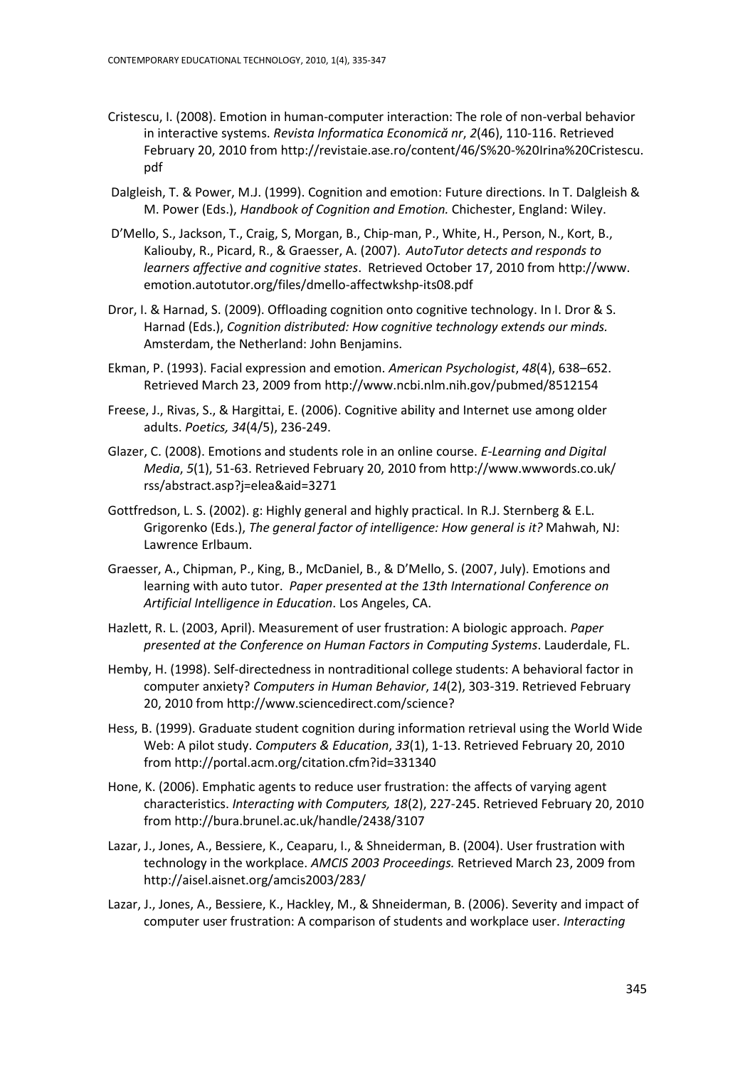- Cristescu, I. (2008). Emotion in human-computer interaction: The role of non-verbal behavior in interactive systems. *Revista Informatica Economică nr*, *2*(46), 110-116. Retrieved February 20, 2010 from [http://revistaie.ase.ro/content/46/S%20-%20Irina%20Cristescu.](http://revistaie.ase.ro/content/46/S%20-%20Irina%20Cristescu.%20pdf)  [pdf](http://revistaie.ase.ro/content/46/S%20-%20Irina%20Cristescu.%20pdf)
- Dalgleish, T. & Power, M.J. (1999). Cognition and emotion: Future directions. In T. Dalgleish & M. Power (Eds.), *Handbook of Cognition and Emotion.* Chichester, England: Wiley.
- D'Mello, S., Jackson, T., Craig, S, Morgan, B., Chip-man, P., White, H., Person, N., Kort, B., Kaliouby, R., Picard, R., & Graesser, A. (2007). *AutoTutor detects and responds to learners affective and cognitive states*. Retrieved October 17, 2010 from http://www. emotion.autotutor.org/files/dmello-affectwkshp-its08.pdf
- Dror, I. & Harnad, S. (2009). Offloading cognition onto cognitive technology. In I. Dror & S. Harnad (Eds.), *Cognition distributed: How cognitive technology extends our minds.*  Amsterdam, the Netherland: John Benjamins.
- Ekman, P. (1993). Facial expression and emotion. *American Psychologist*, *48*(4), 638–652. Retrieved March 23, 2009 from<http://www.ncbi.nlm.nih.gov/pubmed/8512154>
- Freese, J., Rivas, S., & Hargittai, E. (2006). Cognitive ability and Internet use among older adults. *[Poetics,](http://www.sciencedirect.com/science/journal/0304422X) 34*(4/5), 236-249.
- Glazer, C. (2008). Emotions and students role in an online course. *E-Learning and Digital Media*, *5*(1), 51-63. Retrieved February 20, 2010 fro[m http://www.wwwords.co.uk/](http://www.wwwords.co.uk/%20rss/abstract.asp?j=elea&aid=3271)  [rss/abstract.asp?j=elea&aid=3271](http://www.wwwords.co.uk/%20rss/abstract.asp?j=elea&aid=3271)
- Gottfredson, L. S. (2002). g: Highly general and highly practical. In R.J. Sternberg & E.L. Grigorenko (Eds.), *The general factor of intelligence: How general is it?* Mahwah, NJ: Lawrence Erlbaum.
- Graesser, A., Chipman, P., King, B., McDaniel, B., & D'Mello, S. (2007, July). Emotions and learning with auto tutor. *Paper presented at the 13th International Conference on Artificial Intelligence in Education*. Los Angeles, CA.
- Hazlett, R. L. (2003, April). Measurement of user frustration: A biologic approach. *Paper presented at the Conference on Human Factors in Computing Systems*. Lauderdale, FL.
- Hemby, H. (1998). Self-directedness in nontraditional college students: A behavioral factor in computer anxiety? *Computers in Human Behavior*, *14*(2), 303-319. Retrieved February 20, 2010 from<http://www.sciencedirect.com/science?>
- Hess, B. (1999). Graduate student cognition during information retrieval using the World Wide Web: A pilot study. *[Computers & Education](http://www.sciencedirect.com/science/journal/03601315)*, *33*(1), 1-13. Retrieved February 20, 2010 fro[m http://portal.acm.org/citation.cfm?id=331340](http://portal.acm.org/citation.cfm?id=331340)
- Hone, K. (2006). Emphatic agents to reduce user frustration: the affects of varying agent characteristics. *Interacting with Computers, 18*(2), 227-245. Retrieved February 20, 2010 from <http://bura.brunel.ac.uk/handle/2438/3107>
- Lazar, J., Jones, A., Bessiere, K., Ceaparu, I., & Shneiderman, B. (2004). User frustration with technology in the workplace. *AMCIS 2003 Proceedings.* Retrieved March 23, 2009 from <http://aisel.aisnet.org/amcis2003/283/>
- Lazar, J., Jones, A., Bessiere, K., Hackley, M., & Shneiderman, B. (2006). Severity and impact of computer user frustration: A comparison of students and workplace user. *Interacting*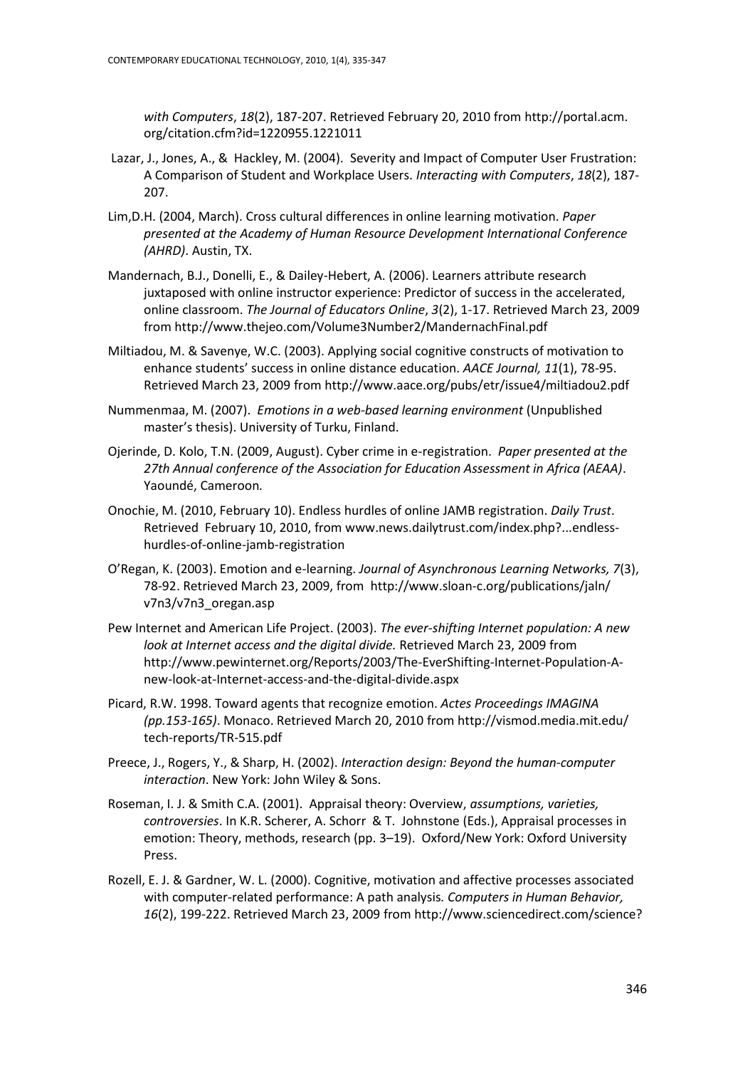*with Computers*, *18*(2), 187-207. Retrieved February 20, 2010 from http://portal.acm. org/citation.cfm?id=1220955.1221011

- Lazar, J., Jones, A., & Hackley, M. (2004). Severity and Impact of Computer User Frustration: A Comparison of Student and Workplace Users. *Interacting with Computers*, *18*(2), 187- 207.
- Lim,D.H. (2004, March). Cross cultural differences in online learning motivation. *Paper presented at the Academy of Human Resource Development International Conference (AHRD)*. Austin, TX.
- Mandernach, B.J., Donelli, E., & Dailey-Hebert, A. (2006). Learners attribute research juxtaposed with online instructor experience: Predictor of success in the accelerated, online classroom. *The Journal of Educators Online*, *3*(2), 1-17. Retrieved March 23, 2009 fro[m http://www.thejeo.com/Volume3Number2/MandernachFinal.pdf](http://www.thejeo.com/Volume3Number2/MandernachFinal.pdf)
- Miltiadou, M. & Savenye, W.C. (2003). Applying social cognitive constructs of motivation to enhance students' success in online distance education. *AACE Journal, 11*(1), 78-95. Retrieved March 23, 2009 from<http://www.aace.org/pubs/etr/issue4/miltiadou2.pdf>
- Nummenmaa, M. (2007). *Emotions in a web-based learning environment* (Unpublished master's thesis). University of Turku, Finland.
- Ojerinde, D. Kolo, T.N. (2009, August). Cyber crime in e-registration. *Paper presented at the 27th Annual conference of the Association for Education Assessment in Africa (AEAA)*. Yaoundé, Cameroon*.*
- Onochie, M. (2010, February 10). Endless hurdles of online JAMB registration. *Daily Trust*. Retrieved February 10, 2010, from [www.news.dailytrust.com/index.php?...endless](http://www.news.dailytrust.com/index.php?...endless-hurdles-of-online-jamb-registration)[hurdles-of-online-jamb-registration](http://www.news.dailytrust.com/index.php?...endless-hurdles-of-online-jamb-registration)
- O'Regan, K. (2003). Emotion and e-learning. *Journal of Asynchronous Learning Networks, 7*(3), 78-92. Retrieved March 23, 2009, from [http://www.sloan-c.org/publications/jaln/](http://www.sloan-c.org/publications/jaln/%20v7n3/v7n3_oregan.asp)  [v7n3/v7n3\\_oregan.asp](http://www.sloan-c.org/publications/jaln/%20v7n3/v7n3_oregan.asp)
- Pew Internet and American Life Project. (2003). *The ever-shifting Internet population: A new look at Internet access and the digital divide.* Retrieved March 23, 2009 from [http://www.pewinternet.org/Reports/2003/The-EverShifting-Internet-Population-A](http://www.pewinternet.org/Reports/2003/The-EverShifting-Internet-Population-A-new-look-at-Internet-access-and-the-digital-divide.aspx)[new-look-at-Internet-access-and-the-digital-divide.aspx](http://www.pewinternet.org/Reports/2003/The-EverShifting-Internet-Population-A-new-look-at-Internet-access-and-the-digital-divide.aspx)
- Picard, R.W. 1998. Toward agents that recognize emotion. *Actes Proceedings IMAGINA (pp.153-165)*. Monaco. Retrieved March 20, 2010 from [http://vismod.media.mit.edu/](http://vismod.media.mit.edu/%20tech-reports/TR-515.pdf)  [tech-reports/TR-515.pdf](http://vismod.media.mit.edu/%20tech-reports/TR-515.pdf)
- Preece, J., Rogers, Y., & Sharp, H. (2002). *Interaction design: Beyond the human-computer interaction*. New York: John Wiley & Sons.
- Roseman, I. J. & Smith C.A. (2001). Appraisal theory: Overview, *assumptions, varieties, controversies*. In K.R. Scherer, A. Schorr & T. Johnstone (Eds.), Appraisal processes in emotion: Theory, methods, research (pp. 3–19). Oxford/New York: Oxford University Press.
- Rozell, E. J. & Gardner, W. L. (2000). Cognitive, motivation and affective processes associated with computer-related performance: A path analysis*. [Computers in Human Behavior,](http://www.sciencedirect.com/science/journal/07475632) 16*(2), 199-222. Retrieved March 23, 2009 from http://www.sciencedirect.com/science?